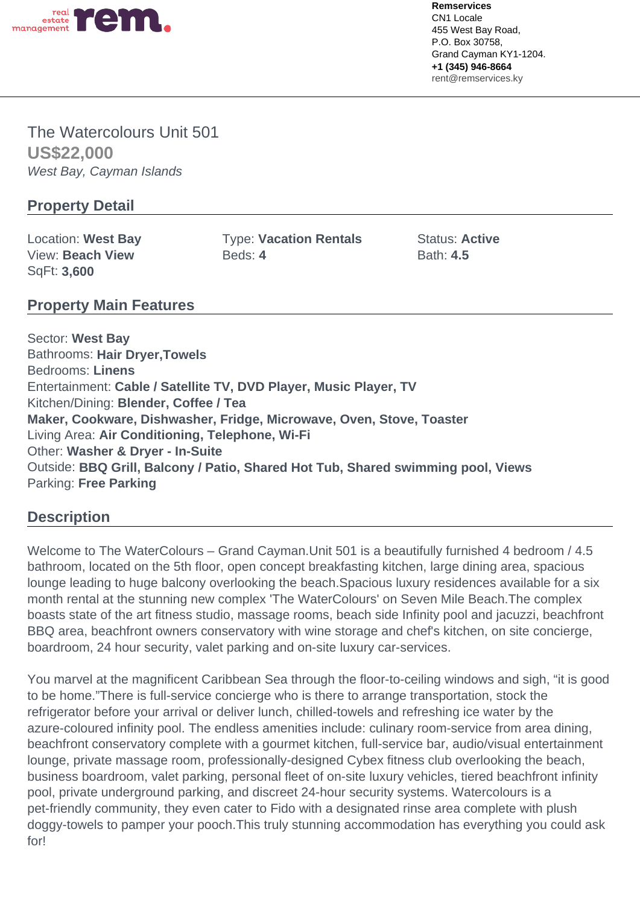

The Watercolours Unit 501 **US\$22,000** West Bay, Cayman Islands

## **Property Detail**

SqFt: **3,600**

Location: West Bay **Type: Vacation Rentals** Status: Active View: Beach View **Beds: 4** Beds: 4 Bath: 4.5

## **Property Main Features**

Sector: **West Bay** Bathrooms: **Hair Dryer,Towels** Bedrooms: **Linens** Entertainment: **Cable / Satellite TV, DVD Player, Music Player, TV** Kitchen/Dining: **Blender, Coffee / Tea Maker, Cookware, Dishwasher, Fridge, Microwave, Oven, Stove, Toaster** Living Area: **Air Conditioning, Telephone, Wi-Fi** Other: **Washer & Dryer - In-Suite** Outside: **BBQ Grill, Balcony / Patio, Shared Hot Tub, Shared swimming pool, Views** Parking: **Free Parking**

## **Description**

Welcome to The WaterColours – Grand Cayman. Unit 501 is a beautifully furnished 4 bedroom / 4.5 bathroom, located on the 5th floor, open concept breakfasting kitchen, large dining area, spacious lounge leading to huge balcony overlooking the beach.Spacious luxury residences available for a six month rental at the stunning new complex 'The WaterColours' on Seven Mile Beach.The complex boasts state of the art fitness studio, massage rooms, beach side Infinity pool and jacuzzi, beachfront BBQ area, beachfront owners conservatory with wine storage and chef's kitchen, on site concierge, boardroom, 24 hour security, valet parking and on-site luxury car-services.

You marvel at the magnificent Caribbean Sea through the floor-to-ceiling windows and sigh, "it is good to be home."There is full-service concierge who is there to arrange transportation, stock the refrigerator before your arrival or deliver lunch, chilled-towels and refreshing ice water by the azure-coloured infinity pool. The endless amenities include: culinary room-service from area dining, beachfront conservatory complete with a gourmet kitchen, full-service bar, audio/visual entertainment lounge, private massage room, professionally-designed Cybex fitness club overlooking the beach, business boardroom, valet parking, personal fleet of on-site luxury vehicles, tiered beachfront infinity pool, private underground parking, and discreet 24-hour security systems. Watercolours is a pet-friendly community, they even cater to Fido with a designated rinse area complete with plush doggy-towels to pamper your pooch.This truly stunning accommodation has everything you could ask for!